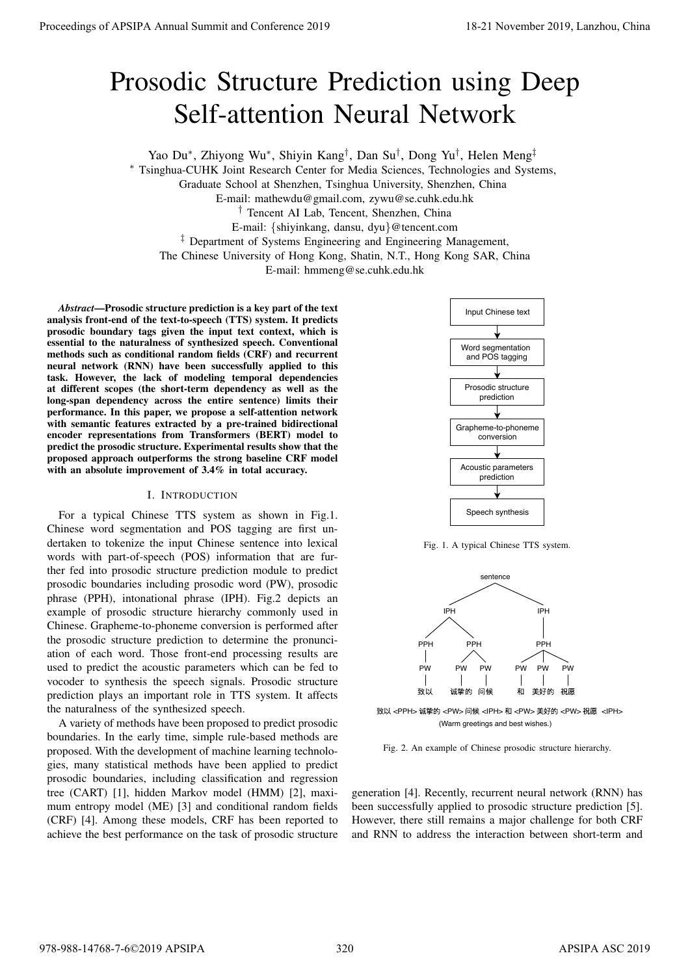# Prosodic Structure Prediction using Deep Self-attention Neural Network

Yao Du<sup>∗</sup>, Zhiyong Wu<sup>∗</sup>, Shiyin Kang<sup>†</sup>, Dan Su<sup>†</sup>, Dong Yu<sup>†</sup>, Helen Meng<sup>‡</sup>

<sup>∗</sup> Tsinghua-CUHK Joint Research Center for Media Sciences, Technologies and Systems,

Graduate School at Shenzhen, Tsinghua University, Shenzhen, China

E-mail: mathewdu@gmail.com, zywu@se.cuhk.edu.hk

† Tencent AI Lab, Tencent, Shenzhen, China

E-mail: {shiyinkang, dansu, dyu}@tencent.com

<sup>‡</sup> Department of Systems Engineering and Engineering Management,

The Chinese University of Hong Kong, Shatin, N.T., Hong Kong SAR, China

E-mail: hmmeng@se.cuhk.edu.hk

*Abstract*—Prosodic structure prediction is a key part of the text analysis front-end of the text-to-speech (TTS) system. It predicts prosodic boundary tags given the input text context, which is essential to the naturalness of synthesized speech. Conventional methods such as conditional random fields (CRF) and recurrent neural network (RNN) have been successfully applied to this task. However, the lack of modeling temporal dependencies at different scopes (the short-term dependency as well as the long-span dependency across the entire sentence) limits their performance. In this paper, we propose a self-attention network with semantic features extracted by a pre-trained bidirectional encoder representations from Transformers (BERT) model to predict the prosodic structure. Experimental results show that the proposed approach outperforms the strong baseline CRF model with an absolute improvement of 3.4% in total accuracy.

# I. INTRODUCTION

For a typical Chinese TTS system as shown in Fig.1. Chinese word segmentation and POS tagging are first undertaken to tokenize the input Chinese sentence into lexical words with part-of-speech (POS) information that are further fed into prosodic structure prediction module to predict prosodic boundaries including prosodic word (PW), prosodic phrase (PPH), intonational phrase (IPH). Fig.2 depicts an example of prosodic structure hierarchy commonly used in Chinese. Grapheme-to-phoneme conversion is performed after the prosodic structure prediction to determine the pronunciation of each word. Those front-end processing results are used to predict the acoustic parameters which can be fed to vocoder to synthesis the speech signals. Prosodic structure prediction plays an important role in TTS system. It affects the naturalness of the synthesized speech. **Proceedings of APSIPA Annual Summit and Conference 2019**<br>
Proceedings of APSIPA Annual Summit and Conference 2019<br>  $\frac{1}{2}$  Proceding Summit and Conference 2019<br>  $\frac{1}{2}$  Proceding Summit and Conference 2019<br>  $\frac{1}{2}$ 

A variety of methods have been proposed to predict prosodic boundaries. In the early time, simple rule-based methods are proposed. With the development of machine learning technologies, many statistical methods have been applied to predict prosodic boundaries, including classification and regression tree (CART) [1], hidden Markov model (HMM) [2], maximum entropy model (ME) [3] and conditional random fields (CRF) [4]. Among these models, CRF has been reported to achieve the best performance on the task of prosodic structure



Fig. 1. A typical Chinese TTS system.



致以 <PPH> 诚挚的 <PW> 问候 <IPH> 和 <PW> 美好的 <PW> 祝愿 <IPH> (Warm greetings and best wishes.)

Fig. 2. An example of Chinese prosodic structure hierarchy.

generation [4]. Recently, recurrent neural network (RNN) has been successfully applied to prosodic structure prediction [5]. However, there still remains a major challenge for both CRF and RNN to address the interaction between short-term and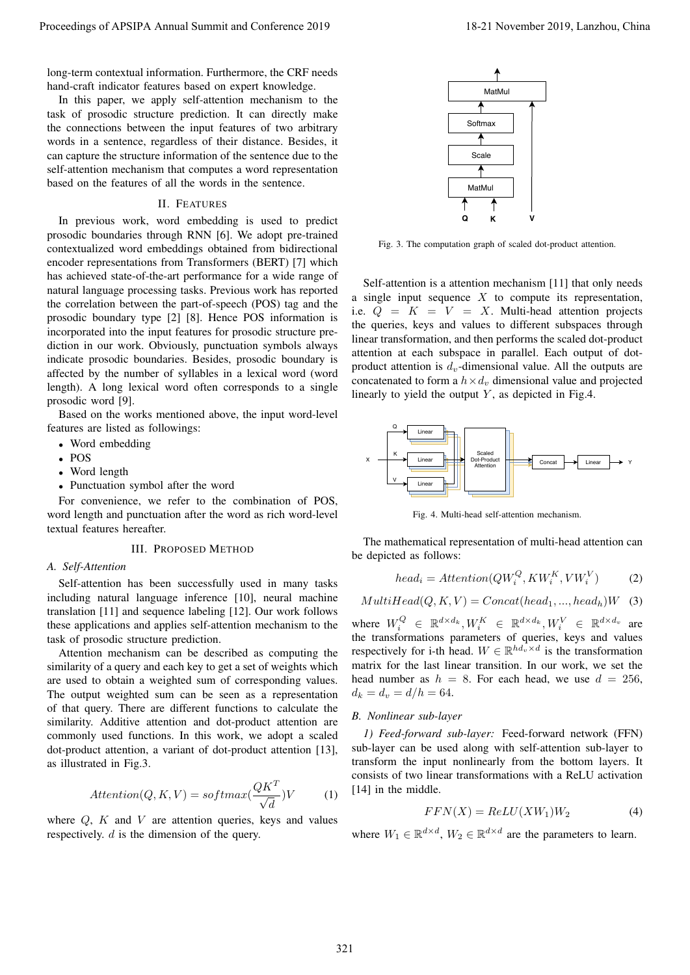long-term contextual information. Furthermore, the CRF needs hand-craft indicator features based on expert knowledge.

In this paper, we apply self-attention mechanism to the task of prosodic structure prediction. It can directly make the connections between the input features of two arbitrary words in a sentence, regardless of their distance. Besides, it can capture the structure information of the sentence due to the self-attention mechanism that computes a word representation based on the features of all the words in the sentence.

### II. FEATURES

In previous work, word embedding is used to predict prosodic boundaries through RNN [6]. We adopt pre-trained contextualized word embeddings obtained from bidirectional encoder representations from Transformers (BERT) [7] which has achieved state-of-the-art performance for a wide range of natural language processing tasks. Previous work has reported the correlation between the part-of-speech (POS) tag and the prosodic boundary type [2] [8]. Hence POS information is incorporated into the input features for prosodic structure prediction in our work. Obviously, punctuation symbols always indicate prosodic boundaries. Besides, prosodic boundary is affected by the number of syllables in a lexical word (word length). A long lexical word often corresponds to a single prosodic word [9]. Procedure of APSIPA Annual Summit and Conference 2019<br>
IDENTIFY (and the summit and conference 2019) and Conference 2019<br>
Land of a Summit and Conference 2019 and Conference 2019<br>
Land of a Summit and Conference 2019 and

Based on the works mentioned above, the input word-level features are listed as followings:

- Word embedding
- POS
- Word length
- Punctuation symbol after the word

For convenience, we refer to the combination of POS, word length and punctuation after the word as rich word-level textual features hereafter.

## III. PROPOSED METHOD

# *A. Self-Attention*

Self-attention has been successfully used in many tasks including natural language inference [10], neural machine translation [11] and sequence labeling [12]. Our work follows these applications and applies self-attention mechanism to the task of prosodic structure prediction.

Attention mechanism can be described as computing the similarity of a query and each key to get a set of weights which are used to obtain a weighted sum of corresponding values. The output weighted sum can be seen as a representation of that query. There are different functions to calculate the similarity. Additive attention and dot-product attention are commonly used functions. In this work, we adopt a scaled dot-product attention, a variant of dot-product attention [13], as illustrated in Fig.3.

$$
Attention(Q, K, V) = softmax(\frac{QK^{T}}{\sqrt{d}})V
$$
 (1)

where  $Q$ ,  $K$  and  $V$  are attention queries, keys and values respectively. d is the dimension of the query.



Fig. 3. The computation graph of scaled dot-product attention.

Self-attention is a attention mechanism [11] that only needs a single input sequence  $X$  to compute its representation, i.e.  $Q = K = V = X$ . Multi-head attention projects the queries, keys and values to different subspaces through linear transformation, and then performs the scaled dot-product attention at each subspace in parallel. Each output of dotproduct attention is  $d_v$ -dimensional value. All the outputs are concatenated to form a  $h \times d_v$  dimensional value and projected linearly to yield the output  $Y$ , as depicted in Fig.4.



Fig. 4. Multi-head self-attention mechanism.

The mathematical representation of multi-head attention can be depicted as follows:

$$
head_i =Attention(QW_i^Q, KW_i^K, VW_i^V)
$$
 (2)

 $MultiHead(Q, K, V) = Concat(head_1, ..., head_h)W$  (3)

where  $W_i^Q \in \mathbb{R}^{d \times d_k}, W_i^K \in \mathbb{R}^{d \times d_k}, W_i^V \in \mathbb{R}^{d \times d_v}$  are the transformations parameters of queries, keys and values respectively for i-th head.  $W \in \mathbb{R}^{hd_v \times d}$  is the transformation matrix for the last linear transition. In our work, we set the head number as  $h = 8$ . For each head, we use  $d = 256$ .  $d_k = d_v = d/h = 64.$ 

# *B. Nonlinear sub-layer*

*1) Feed-forward sub-layer:* Feed-forward network (FFN) sub-layer can be used along with self-attention sub-layer to transform the input nonlinearly from the bottom layers. It consists of two linear transformations with a ReLU activation [14] in the middle.

$$
FFN(X) = ReLU(XW_1)W_2
$$
\n(4)

where  $W_1 \in \mathbb{R}^{d \times d}$ ,  $W_2 \in \mathbb{R}^{d \times d}$  are the parameters to learn.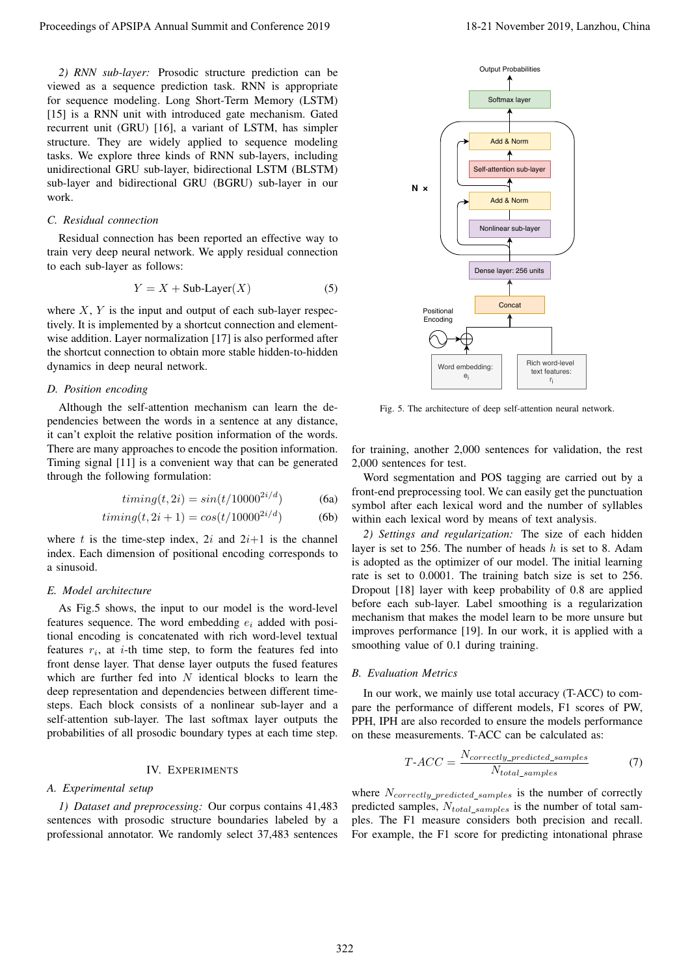*2) RNN sub-layer:* Prosodic structure prediction can be viewed as a sequence prediction task. RNN is appropriate for sequence modeling. Long Short-Term Memory (LSTM) [15] is a RNN unit with introduced gate mechanism. Gated recurrent unit (GRU) [16], a variant of LSTM, has simpler structure. They are widely applied to sequence modeling tasks. We explore three kinds of RNN sub-layers, including unidirectional GRU sub-layer, bidirectional LSTM (BLSTM) sub-layer and bidirectional GRU (BGRU) sub-layer in our work.

## *C. Residual connection*

Residual connection has been reported an effective way to train very deep neural network. We apply residual connection to each sub-layer as follows:

$$
Y = X + Sub-Layer(X)
$$
 (5)

where  $X, Y$  is the input and output of each sub-layer respectively. It is implemented by a shortcut connection and elementwise addition. Layer normalization [17] is also performed after the shortcut connection to obtain more stable hidden-to-hidden dynamics in deep neural network.

# *D. Position encoding*

Although the self-attention mechanism can learn the dependencies between the words in a sentence at any distance, it can't exploit the relative position information of the words. There are many approaches to encode the position information. Timing signal [11] is a convenient way that can be generated through the following formulation:

$$
timing(t, 2i) = sin(t/10000^{2i/d})
$$
 (6a)

$$
timing(t, 2i + 1) = cos(t/10000^{2i/d})
$$
 (6b)

where t is the time-step index,  $2i$  and  $2i+1$  is the channel index. Each dimension of positional encoding corresponds to a sinusoid.

#### *E. Model architecture*

As Fig.5 shows, the input to our model is the word-level features sequence. The word embedding  $e_i$  added with positional encoding is concatenated with rich word-level textual features  $r_i$ , at *i*-th time step, to form the features fed into front dense layer. That dense layer outputs the fused features which are further fed into  $N$  identical blocks to learn the deep representation and dependencies between different timesteps. Each block consists of a nonlinear sub-layer and a self-attention sub-layer. The last softmax layer outputs the probabilities of all prosodic boundary types at each time step.

# IV. EXPERIMENTS

#### *A. Experimental setup*

*1) Dataset and preprocessing:* Our corpus contains 41,483 sentences with prosodic structure boundaries labeled by a professional annotator. We randomly select 37,483 sentences



Fig. 5. The architecture of deep self-attention neural network.

for training, another 2,000 sentences for validation, the rest 2,000 sentences for test.

Word segmentation and POS tagging are carried out by a front-end preprocessing tool. We can easily get the punctuation symbol after each lexical word and the number of syllables within each lexical word by means of text analysis.

*2) Settings and regularization:* The size of each hidden layer is set to 256. The number of heads  $h$  is set to 8. Adam is adopted as the optimizer of our model. The initial learning rate is set to 0.0001. The training batch size is set to 256. Dropout [18] layer with keep probability of 0.8 are applied before each sub-layer. Label smoothing is a regularization mechanism that makes the model learn to be more unsure but improves performance [19]. In our work, it is applied with a smoothing value of 0.1 during training.

#### *B. Evaluation Metrics*

In our work, we mainly use total accuracy (T-ACC) to compare the performance of different models, F1 scores of PW, PPH, IPH are also recorded to ensure the models performance on these measurements. T-ACC can be calculated as:

$$
T\text{-}ACC = \frac{N_{correctly\_predicted\_samples}}{N_{total\_samples}}\tag{7}
$$

where  $N_{correctly\_predicted\_samples}$  is the number of correctly predicted samples,  $N_{total \ samples}$  is the number of total samples. The F1 measure considers both precision and recall. For example, the F1 score for predicting intonational phrase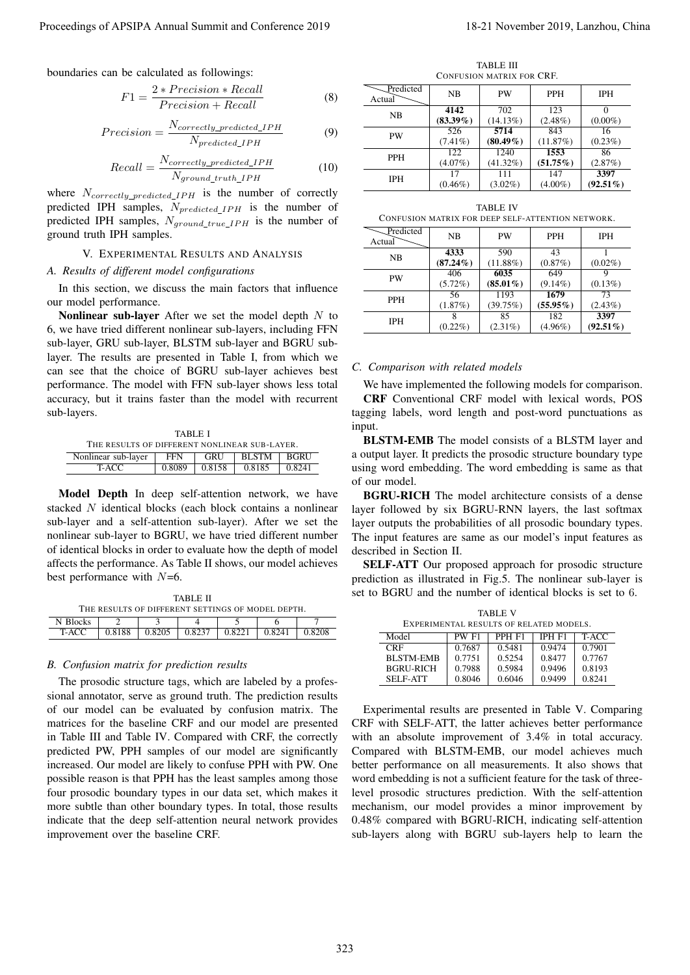boundaries can be calculated as followings:

$$
F1 = \frac{2 * Precision * Recall}{Precision + Recall}
$$
 (8)

$$
Precision = \frac{N_{correctly\_predicted\_IPH}}{N_{predicted\_IPH}} \tag{9}
$$

$$
Recall = \frac{N_{correctly\_predicted\_IPH}}{N_{ground\_truth\_IPH}}
$$
(10)

where  $N_{correctly\_predicted\_IPH}$  is the number of correctly predicted IPH samples,  $N_{predicted\_IPH}$  is the number of predicted IPH samples,  $N_{ground\_true\_IPH}$  is the number of ground truth IPH samples.

## V. EXPERIMENTAL RESULTS AND ANALYSIS

#### *A. Results of different model configurations*

In this section, we discuss the main factors that influence our model performance.

Nonlinear sub-layer After we set the model depth  $N$  to 6, we have tried different nonlinear sub-layers, including FFN sub-layer, GRU sub-layer, BLSTM sub-layer and BGRU sublayer. The results are presented in Table I, from which we can see that the choice of BGRU sub-layer achieves best performance. The model with FFN sub-layer shows less total accuracy, but it trains faster than the model with recurrent sub-layers.

| TABLE I                                       |        |            |              |             |  |
|-----------------------------------------------|--------|------------|--------------|-------------|--|
| THE RESULTS OF DIFFERENT NONLINEAR SUB-LAYER. |        |            |              |             |  |
| Nonlinear sub-layer                           | FFN    | <b>GRU</b> | <b>BLSTM</b> | <b>BGRU</b> |  |
| T-ACC.                                        | 0.8089 | 0.8158     | 0.8185       | 0.8241      |  |

Model Depth In deep self-attention network, we have stacked N identical blocks (each block contains a nonlinear sub-layer and a self-attention sub-layer). After we set the nonlinear sub-layer to BGRU, we have tried different number of identical blocks in order to evaluate how the depth of model affects the performance. As Table II shows, our model achieves best performance with  $N=6$ .

| TARI E II                                         |        |        |        |  |        |  |
|---------------------------------------------------|--------|--------|--------|--|--------|--|
| THE RESULTS OF DIFFERENT SETTINGS OF MODEL DEPTH. |        |        |        |  |        |  |
| N Blocks                                          |        |        |        |  |        |  |
| TACC                                              | 0.8188 | 0.8205 | በ ጸ237 |  | 0.8241 |  |

#### *B. Confusion matrix for prediction results*

The prosodic structure tags, which are labeled by a professional annotator, serve as ground truth. The prediction results of our model can be evaluated by confusion matrix. The matrices for the baseline CRF and our model are presented in Table III and Table IV. Compared with CRF, the correctly predicted PW, PPH samples of our model are significantly increased. Our model are likely to confuse PPH with PW. One possible reason is that PPH has the least samples among those four prosodic boundary types in our data set, which makes it more subtle than other boundary types. In total, those results indicate that the deep self-attention neural network provides improvement over the baseline CRF. Proceeding of APSIPA Annual Summit and Conference 2019<br>
Reaches can be a state of the basic of the conference 2019<br>
Procedure 2019, and  $\frac{S_{\text{total}}}{\sqrt{2\pi}}$  and Conference 2019<br>
Procedure 2019, and  $\frac{S_{\text{total}}}{\sqrt{2\pi}}$  an

TABLE III CONFUSION MATRIX FOR CRF.

| Predicted<br>Actual | NB                  | <b>PW</b>       | <b>PPH</b>        | <b>IPH</b>  |
|---------------------|---------------------|-----------------|-------------------|-------------|
| NB                  | 4142<br>$(83.39\%)$ | 702<br>(14.13%) | 123<br>$(2.48\%)$ | $(0.00\%)$  |
| <b>PW</b>           | 526                 | 5714            | 843               | 16          |
|                     | $(7.41\%)$          | $(80.49\%)$     | (11.87%)          | $(0.23\%)$  |
| <b>PPH</b>          | 122                 | 1240            | 1553              | 86          |
|                     | $(4.07\%)$          | $(41.32\%)$     | $(51.75\%)$       | (2.87%)     |
| IPH                 | 17                  | 111             | 147               | 3397        |
|                     | $(0.46\%)$          | $(3.02\%)$      | $(4.00\%)$        | $(92.51\%)$ |

| TABLE IV                                          |  |  |  |  |  |
|---------------------------------------------------|--|--|--|--|--|
| CONFUSION MATRIX FOR DEEP SELF-ATTENTION NETWORK. |  |  |  |  |  |

| Predicted<br>Actual | NB                  | PW                  | <b>PPH</b>          | IPH                 |
|---------------------|---------------------|---------------------|---------------------|---------------------|
| NB                  | 4333<br>$(87.24\%)$ | 590<br>$(11.88\%)$  | 43<br>(0.87%)       | $(0.02\%)$          |
| <b>PW</b>           | 406<br>$(5.72\%)$   | 6035<br>$(85.01\%)$ | 649<br>$(9.14\%)$   | $(0.13\%)$          |
| <b>PPH</b>          | 56<br>$(1.87\%)$    | 1193<br>(39.75%)    | 1679<br>$(55.95\%)$ | 73<br>$(2.43\%)$    |
| <b>IPH</b>          | $(0.22\%)$          | 85<br>$(2.31\%)$    | 182<br>$(4.96\%)$   | 3397<br>$(92.51\%)$ |

#### *C. Comparison with related models*

We have implemented the following models for comparison. CRF Conventional CRF model with lexical words, POS tagging labels, word length and post-word punctuations as input.

BLSTM-EMB The model consists of a BLSTM layer and a output layer. It predicts the prosodic structure boundary type using word embedding. The word embedding is same as that of our model.

BGRU-RICH The model architecture consists of a dense layer followed by six BGRU-RNN layers, the last softmax layer outputs the probabilities of all prosodic boundary types. The input features are same as our model's input features as described in Section II.

SELF-ATT Our proposed approach for prosodic structure prediction as illustrated in Fig.5. The nonlinear sub-layer is set to BGRU and the number of identical blocks is set to 6.

| <b>TABLE V</b><br>EXPERIMENTAL RESULTS OF RELATED MODELS. |        |        |        |        |  |
|-----------------------------------------------------------|--------|--------|--------|--------|--|
| Model                                                     | PW F1  | PPH F1 | IPH F1 | T-ACC  |  |
| <b>CRF</b>                                                | 0.7687 | 0.5481 | 0.9474 | 0.7901 |  |
| <b>BLSTM-EMB</b>                                          | 0.7751 | 0.5254 | 0.8477 | 0.7767 |  |
| <b>BGRU-RICH</b>                                          | 0.7988 | 0.5984 | 0.9496 | 0.8193 |  |
| <b>SELF-ATT</b>                                           | 0.8046 | 0.6046 | 0.9499 | 0.8241 |  |

Experimental results are presented in Table V. Comparing CRF with SELF-ATT, the latter achieves better performance with an absolute improvement of 3.4% in total accuracy. Compared with BLSTM-EMB, our model achieves much better performance on all measurements. It also shows that word embedding is not a sufficient feature for the task of threelevel prosodic structures prediction. With the self-attention mechanism, our model provides a minor improvement by 0.48% compared with BGRU-RICH, indicating self-attention sub-layers along with BGRU sub-layers help to learn the